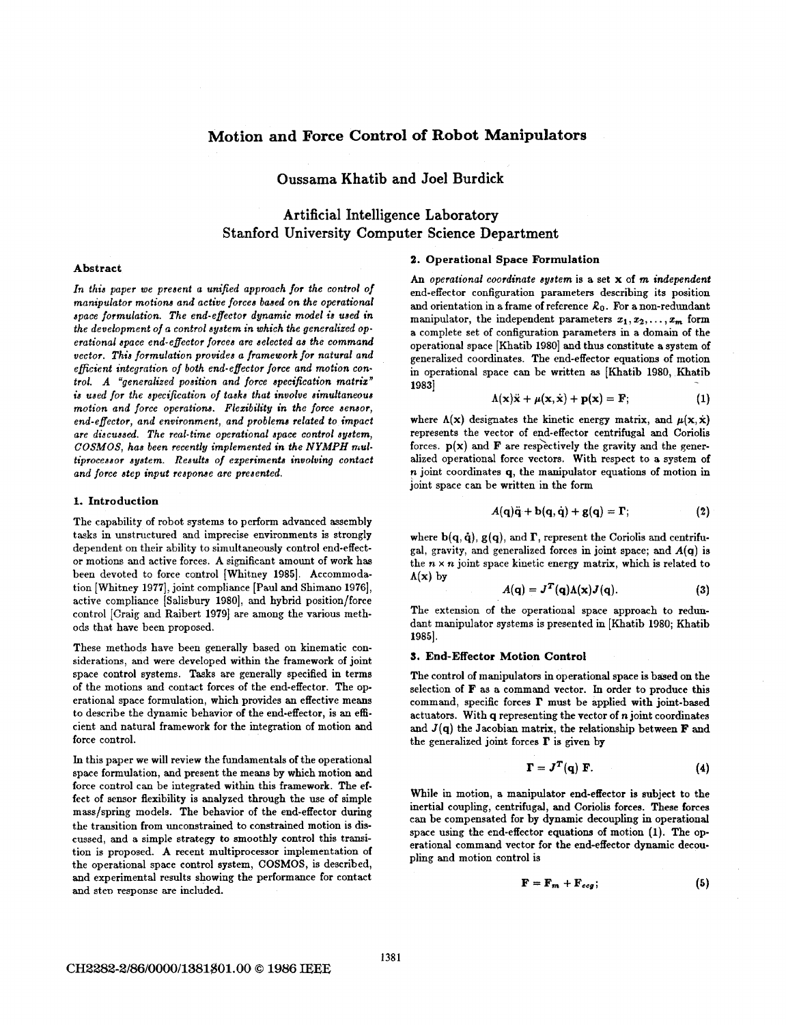## **Motion and Force Control of Robot Manipulators**

Oussama Khatib and Joel Burdick

# Artificial Intelligence Laboratory Stanford University Computer Science Department

## **Abstract**

*In thin paper we preaent a unified approach* **for** *the control of manipulator motions and active forces baaed on the operational space formulation. The end-effector dynamic model is used in the development of* a *control ayatem in which the generalized operational apace end-effector forces are selected aa the command vector. This formulation prouidea a framework for natural and eficient integration of both end-effector force and motion control. A "generalized position and force specification matriz" is uaed for the apecification of taaka that involve aimultaneoua motion and force operations. Flezibility in the force aenaor, end-effector, and environment, and problems related to impact are discussed. The real-time operational apace control ayatem, COSMOS, has been recently implemented in the NYMPH multiproceasor aystem. Results of ezperimenta involving contact and force step input reaponse are presented.* 

#### **I. Introduction**

The capability of robot systems to perform advanced assembly tasks in unstructured and imprecise environments is strongly dependent on their ability to simultaneously control end-effector motions and active forces. **A** significant amount of work has been devoted to force control [Whitney 1985]. Accommodation [Whitney 1977], joint compliance [Paul and Shimano 1976], active compliance [Salisbury **19801,** and hybrid position/force control [Craig and Raibert 1979] are among the various methods that have been proposed.

These methods have been generally based on kinematic considerations, and were developed within the framework of joint space control systems. Tasks are generally specified in terms of the motions and contact forces of the end-effector. The operational space formulation, which provides an effective means to describe the dynamic behavior of the end-effector, is an efficient and natural framework for the integration of motion and force control.

In this paper we will review the fundamentals of the operational space formulation, and present the means by which motion and force control can be integrated within this framework. The effect of sensor flexibility is analyzed through the use of simple mass/spring models. The behavior of the end-effector during the transition from unconstrained to constrained motion is discussed, and a simple strategy to smoothly control this transition is proposed. **A** recent multiprocessor implementation **of**  the operational space control system, COSMOS, is described, and experimental results showing the performance for contact and step response are included.

#### **2. Operational Space Formulation**

**An** *operational coordinate ayatem* is a set **x** of **m** *independent*  end-effector configuration parameters describing its position and orientation in **a** frame of reference *Ro.* For a non-redundant manipulator, the independent parameters  $x_1, x_2, \ldots, x_m$  form a complete set of configuration parameters in a domain of the operational space [Khatib **19801** and thus constitute a system of generalized coordinates. The end-effector equations of motion in operational space can be written **as** [Khatib **1980,** Khatib **19831** 

$$
\Lambda(\mathbf{x})\ddot{\mathbf{x}} + \mu(\mathbf{x}, \dot{\mathbf{x}}) + \mathbf{p}(\mathbf{x}) = \mathbf{F};
$$
 (1)

where  $\Lambda(x)$  designates the kinetic energy matrix, and  $\mu(x, \dot{x})$ represents the vector of end-effector centrifugal and Coriolis forces.  $p(x)$  and **F** are respectively the gravity and the generalized operational force vectors. With respect to a system of *n* joint coordinates **q**, the manipulator equations of motion in joint space can be written in the form

$$
A(\mathbf{q})\ddot{\mathbf{q}} + \mathbf{b}(\mathbf{q}, \dot{\mathbf{q}}) + \mathbf{g}(\mathbf{q}) = \mathbf{\Gamma};
$$
 (2)

where  $\mathbf{b}(\mathbf{q}, \dot{\mathbf{q}})$ ,  $\mathbf{g}(\mathbf{q})$ , and  $\mathbf{\Gamma}$ , represent the Coriolis and centrifugal, gravity, and generalized forces in joint space; and **A(q)** is the  $n \times n$  joint space kinetic energy matrix, which is related to  $\Lambda(x)$  by

$$
A(\mathbf{q}) = J^T(\mathbf{q})\Lambda(\mathbf{x})J(\mathbf{q}). \tag{3}
$$

The extension of the operational space approach to redundant manipulator systems is presented in [Khatib **1980;** Khatib **19851.** 

#### **3. End-Effector Motion Control**

The control of manipulators in operational space **is** baed **on** the selection **of F** as a command vector. In order to produce this command, specific forces **I'** must be applied with joint-based actuators. With **q** representing the vector of *n* joint coordinates and **J(q)** the Jacobian matrix, the relationship between **F** and the generalized joint forces  $\mathbf{F}$  is given by

$$
\Gamma = J^T(\mathbf{q}) \mathbf{F}.\tag{4}
$$

While in motion, a manipulator end-effector is subject to the inertial coupling, centrifugal, and Coriolis forces. These forces can be compensated for by dynamic decoupling in operational space using the end-effector equations of motion **(1).** The operational command vector for the end-effector dynamic decoupling and motion control is

$$
\mathbf{F} = \mathbf{F}_m + \mathbf{F}_{ccg}; \tag{5}
$$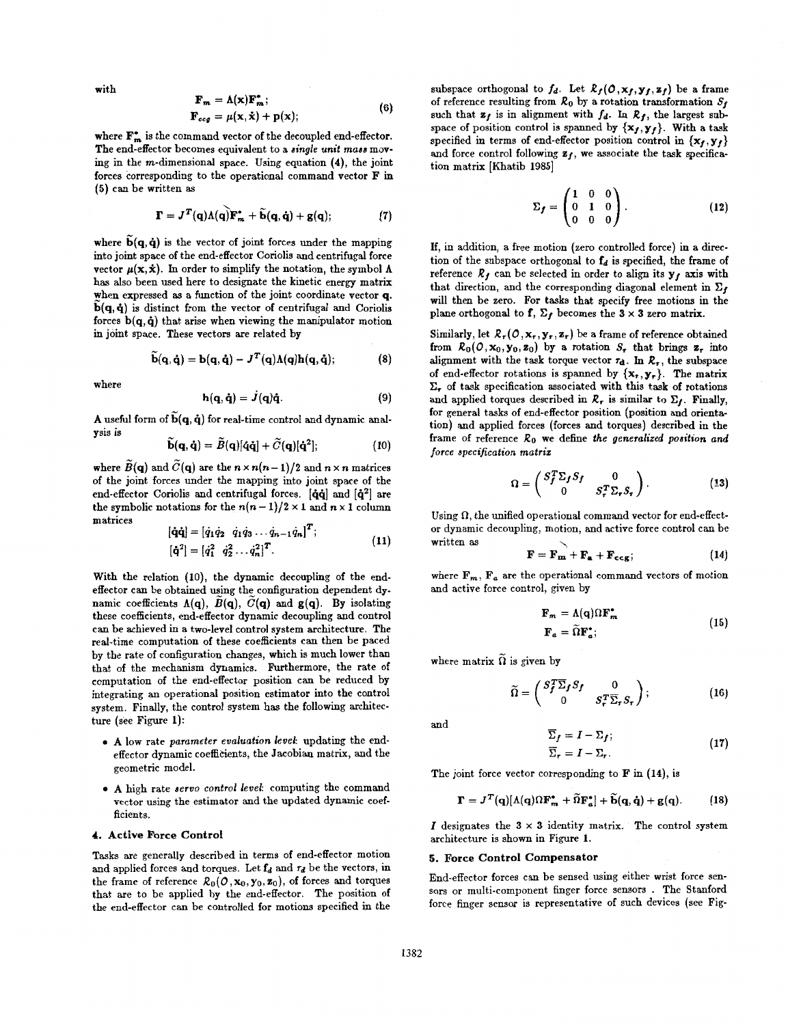with

$$
\mathbf{F}_m = \mathbf{A}(\mathbf{X})\mathbf{F}_m; \n\mathbf{F}_{ccg} = \mu(\mathbf{x}, \dot{\mathbf{x}}) + \mathbf{p}(\mathbf{x});
$$
\n(6)

where  $\mathbf{F}_{-}^*$  is the command vector of the decoupled end-effector. The end-effector becomes equivalent to a *single unit mass* moving in the rn-dimensional space. Using equation **(4),** the joint forces corresponding to the operational command vector **F in (5)** can be written **as** 

$$
\mathbf{\Gamma} = \mathbf{J}^T(\mathbf{q})\Lambda(\mathbf{q})\mathbf{\tilde{F}}_m^* + \widetilde{\mathbf{b}}(\mathbf{q},\dot{\mathbf{q}}) + \mathbf{g}(\mathbf{q});\tag{7}
$$

where  $\tilde{b}(q, \dot{q})$  is the vector of joint forces under the mapping into joint space of the end-effector Coriolis and centrifugal force vector  $\mu(\mathbf{x}, \dot{\mathbf{x}})$ . In order to simplify the notation, the symbol  $\Lambda$ has also been used here to designate the kinetic energy matrix when expressed **as** a function of the joint coordinate vector **q.**   $\tilde{b}(q, \dot{q})$  is distinct from the vector of centrifugal and Coriolis forces **b(q, 4)** that arise when viewing the manipulator motion in joht space. These vectors are related by

$$
\tilde{\mathbf{b}}(\mathbf{q},\dot{\mathbf{q}})=\mathbf{b}(\mathbf{q},\dot{\mathbf{q}})-J^{T}(\mathbf{q})\Lambda(\mathbf{q})\mathbf{h}(\mathbf{q},\dot{\mathbf{q}}); \qquad (8)
$$

where

$$
\mathbf{h}(\mathbf{q},\dot{\mathbf{q}})=J(\mathbf{q})\dot{\mathbf{q}}.\tag{9}
$$

**A** useful form of  $\widetilde{\mathbf{b}}(\mathbf{q}, \dot{\mathbf{q}})$  for real-time control and dynamic analysis is

$$
\dot{\mathbf{b}}(\mathbf{q},\dot{\mathbf{q}})=\tilde{B}(\mathbf{q})[\dot{\mathbf{q}}\dot{\mathbf{q}}]+\tilde{C}(\mathbf{q})[\dot{\mathbf{q}}^2];\tag{10}
$$

where  $\widetilde{B}(q)$  and  $\widetilde{C}(q)$  are the  $n \times n(n-1)/2$  and  $n \times n$  matrices of the joint forces under the mapping into joint space of the end-effector Coriolis and centrifugal forces.  $[\dot{\mathbf{q}}\dot{\mathbf{q}}]$  and  $[\dot{\mathbf{q}}^2]$  are the symbolic notations for the  $n(n-1)/2 \times 1$  and  $n \times 1$  column matrices

$$
\begin{aligned} \left[\dot{\mathbf{q}}\dot{\mathbf{q}}\right] &= \left[\dot{q}_1\dot{q}_2 \quad \dot{q}_1\dot{q}_3 \dots \dot{q}_{n-1}\dot{q}_n\right]^T; \\ \left[\dot{\mathbf{q}}^2\right] &= \left[\dot{q}_1^2 \quad \dot{q}_2^2 \dots \dot{q}_n^2\right]^T. \end{aligned} \tag{11}
$$

With the relation (10), the dynamic decoupling of the endeffector can be obtained using the configuration dependent dynamic coefficients  $\Lambda(q)$ ,  $\widetilde{B}(q)$ ,  $\widetilde{C}(q)$  and  $g(q)$ . By isolating these coefficients, end-effector dynamic decoupling and control can be achieved in a two-level control system architecture. The real-time computation of these coefficients can then be paced by the rate of configuration changes, which is much lower than that of the mechanism dynamics. Furthermore, the rate of computation of the end-effector position can be reduced by integrating an operational position estimator into the control system. Finally, the control system has the following architecture (see Figure **1):** 

- *0* **A low** rate *parameter evaluation levek* updating the endeffector dynamic coefficients, the Jacobian matrix, and the geometric model.
- *0* **A** high rate *aervo control level:* computing the command vector using the estimator and the updated dynamic coefficients.

## **4. Active Force Control**

Tasks are generally described in terms of end-effector motion and applied forces and torques. Let  $f_d$  and  $r_d$  be the vectors, in the frame of reference  $\mathcal{R}_0(\mathcal{O},\mathbf{x}_0,\mathbf{y}_0,\mathbf{z}_0)$ , of forces and torques that are to be applied by the end-effector. The position of the end-effector can be controlled for motions specified in the

subspace orthogonal to  $f_d$ . Let  $R_f(0, x_f, y_f, z_f)$  be a frame of reference resulting from  $R_0$  by a rotation transformation  $S_f$ such that  $z_f$  is in alignment with  $f_d$ . In  $\mathcal{R}_f$ , the largest subspace of position control is spanned by  $\{x_f, y_f\}$ . With a task specified in terms of end-effector position control in  ${x_f, y_f}$ and force control following  $z_f$ , we associate the task specification matrix [Khatib 1985]

$$
\Sigma_f = \begin{pmatrix} 1 & 0 & 0 \\ 0 & 1 & 0 \\ 0 & 0 & 0 \end{pmatrix} . \tag{12}
$$

If, in addition, a free motion (zero controlled force) in a direction of the subspace orthogonal to  $f_d$  is specified, the frame of reference  $R_f$  can be selected in order to align its  $y_f$  axis with that direction, and the corresponding diagonal element in  $\Sigma_f$ will then be zero. For **tasks** that specify free motions in the plane orthogonal to **f**,  $\Sigma_f$  becomes the  $3 \times 3$  zero matrix.

Similarly, let  $\mathcal{R}_r(O, \mathbf{x}_r, \mathbf{y}_r, \mathbf{z}_r)$  be a frame of reference obtained from  $\mathcal{R}_0(\mathcal{O}, \mathbf{x}_0, \mathbf{y}_0, \mathbf{z}_0)$  by a rotation  $S_r$  that brings  $\mathbf{z}_r$  into alignment with the task torque vector  $\tau_d$ . In  $\mathcal{R}_{\tau}$ , the subspace of end-effector rotations is spanned by  $\{x_r, y_r\}$ . The matrix **E,** of task specification associated with this task of rotations and applied torques described in  $R_r$  is similar to  $\Sigma_f$ . Finally, for general tasks of end-effector position (position and orientation) and applied forces (forces and torques) described in the frame of reference *Ro* we define *the generalized poaition and*  **force** *specification matriz* 

$$
\Omega = \begin{pmatrix} S_f^T \Sigma_f S_f & 0 \\ 0 & S_\tau^T \Sigma_\tau S_\tau \end{pmatrix} . \tag{13}
$$

Using  $\Omega$ , the unified operational command vector for end-effector dynamic decoupling, motion, and active force control can be written **as** \.

$$
\mathbf{F} = \mathbf{F_m} + \mathbf{F_a} + \mathbf{F_{ccg}}; \tag{14}
$$

where  $F_m$ ,  $F_a$  are the operational command vectors of motion and active force control, given by

$$
\mathbf{F}_m = \Lambda(\mathbf{q}) \Omega \mathbf{F}_m^* \tag{15}
$$
\n
$$
\mathbf{F}_a = \widetilde{\Omega} \mathbf{F}_a^*;
$$

where matrix  $\widetilde{\Omega}$  is given by

$$
\widetilde{\Omega} = \begin{pmatrix} S_f^T \overline{\Sigma}_f S_f & 0 \\ 0 & S_\tau^T \overline{\Sigma}_\tau S_\tau \end{pmatrix};\tag{16}
$$

and 
$$
\overline{\Sigma}_f = I - \Sigma_f; \overline{\Sigma}_r = I - \Sigma_r.
$$
 (17)

The joint force vector corresponding to **F** in (14), is

$$
\mathbf{\Gamma} = J^T(\mathbf{q})[\Lambda(\mathbf{q})\Omega \mathbf{F}_m^* + \widetilde{\Omega} \mathbf{F}_a^*] + \widetilde{\mathbf{b}}(\mathbf{q}, \dot{\mathbf{q}}) + \mathbf{g}(\mathbf{q}). \tag{18}
$$

I designates the  $3 \times 3$  identity matrix. The control system architecture is shown in Figure **1.** 

#### **5. Force Control Compensator**

End-effector forces can be sensed using either wrist force sensors or multi-component fmger force sensors . The Stanford force finger sensor is representative of such devices (see Fig-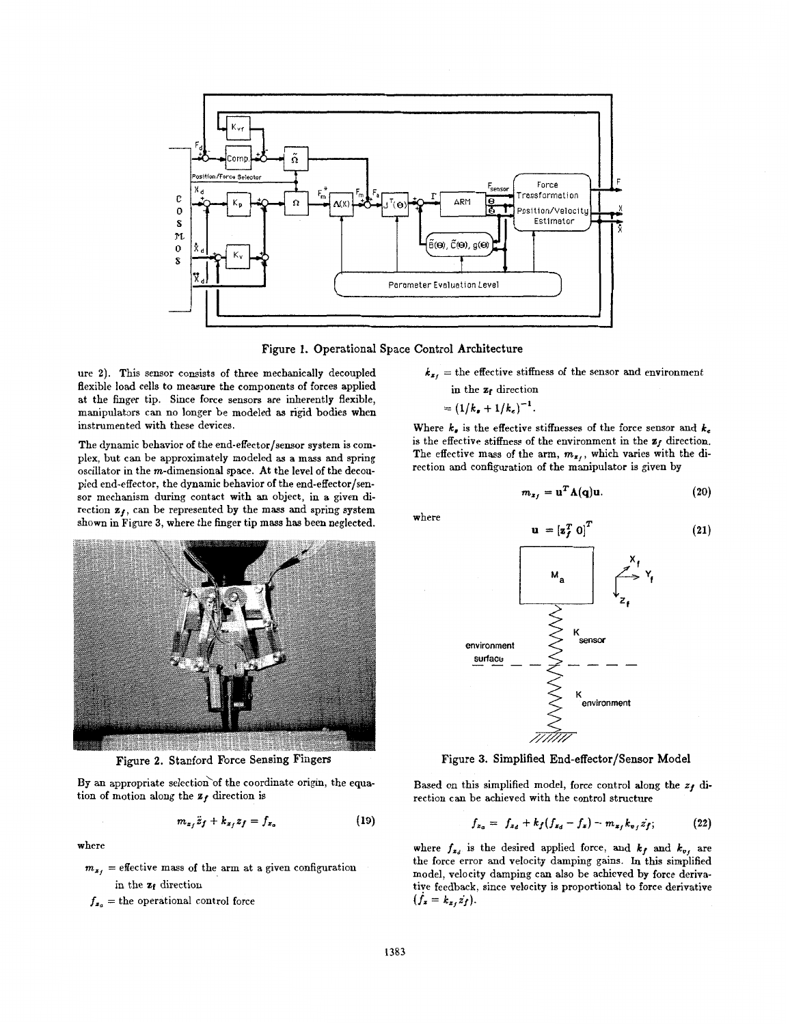

**Figure 1. Operational Space Control Architecture** 

ure **2).** This sensor consists of three mechanically decoupled flexible load cells to measure the components of forces applied at the finger tip. Since force sensors are inherently flexible, manipulators can no longer be modeled **as** rigid bodies when instrumented with these devices.

The dynamic behavior of the end-effector/sensor system is complex, but can be approximately modeled **as** a mass and spring oscillator in the  $m$ -dimensional space. At the level of the decoupled end-effector, the dynamic behavior of the end-effector/sensor mechanism during contact with an object, in a given direction  $z_f$ , can be represented by the mass and spring system shown in Figure **3,** where the finger tip mass has been neglected.



Figure 2. Stanford Force Sensing Fingers

By an appropriate selection of the coordinate origin, the equa-<br>
Based on this simplified model, force control along the  $z_f$  dition of motion along the  $z_f$  di-<br>
rection can be achieved with the control structure

$$
m_{z_f}\ddot{z}_f + k_{z_f}z_f = f_{z_a} \tag{19}
$$

 $m_{z_i}$  = effective mass of the arm at a given configuration

 $f_{z_0}$  = the operational control force  $(f_x = k_{z_0}z_f)$ .

$$
k_{x_f}
$$
 = the effective stiffness of the sensor and environment in the  $z_f$  direction

$$
=(1/k_{\bullet}+1/k_{\epsilon})^{-1}
$$

Where  $k_e$  is the effective stiffnesses of the force sensor and  $k_e$ is the effective stiffness of the environment in the  $z_f$  direction. The effective mass of the arm,  $m_{z_i}$ , which varies with the direction and configuration of the manipulator is given by

$$
m_{x_f} = \mathbf{u}^T \mathbf{\Lambda}(\mathbf{q}) \mathbf{u}.\tag{20}
$$

**(21)** 

where



**Figure 3. Simplified End-effector/Sensor Model** 

rection can be achieved with the control structure

$$
m_{z_1}\ddot{z}_f + k_{z_1}z_f = f_{z_0}
$$
 (19) 
$$
f_{z_0} = f_{z_d} + k_f(f_{z_d} - f_z) - m_{z_f}k_{\sigma_f}\dot{z}_f;
$$
 (22)

where where  $f_{x_d}$  is the desired applied force, and  $k_f$  and  $k_{v_f}$  are the force error and velocity damping gains. In this simplified model, velocity damping can also be achieved by force derivain the  $z_f$  direction tive feedback, since velocity is proportional to force derivative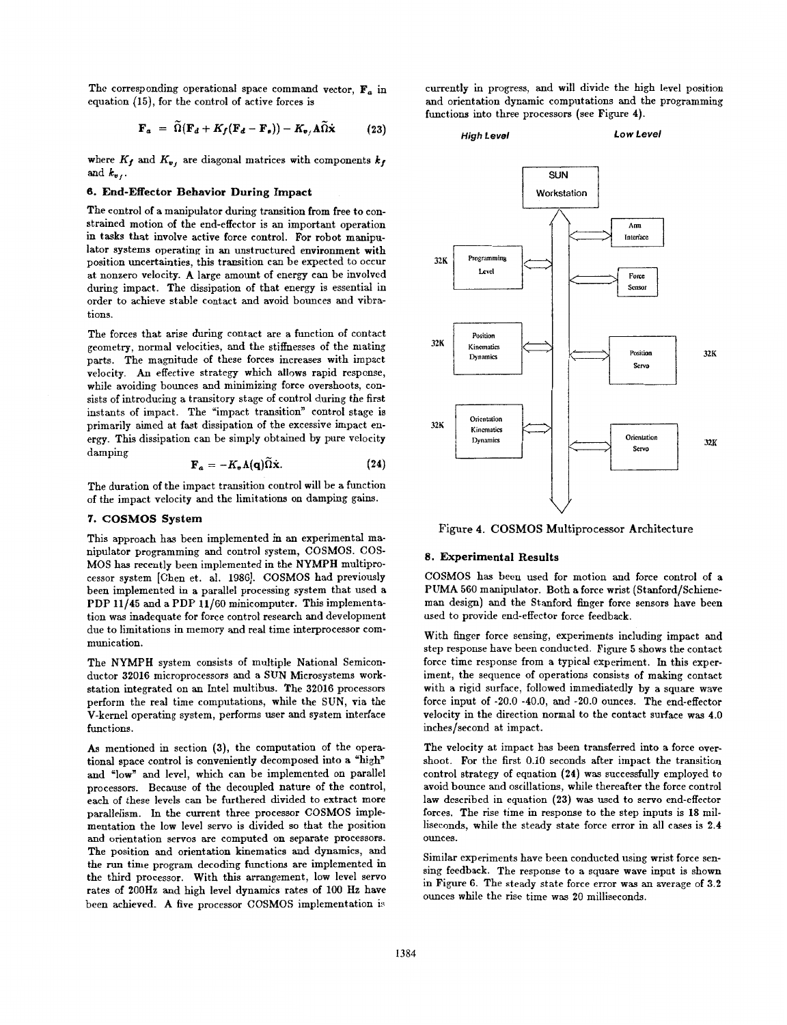The corresponding operational space command vector,  $\mathbf{F}_a$  in equation (15), for the control of active forces is

$$
\mathbf{F}_a = \widetilde{\Omega}(\mathbf{F}_d + K_f(\mathbf{F}_d - \mathbf{F}_s)) - K_{\mathbf{v}_f} \widetilde{\Omega} \dot{\mathbf{x}} \tag{23}
$$

where  $K_f$  and  $K_v$ , are diagonal matrices with components  $k_f$ and  $k_{v}$ .

## *6.* **End-Effector Behavior During Impact**

The control of a manipulator during transition from free to constrained motion of the end-effector is an important operation in tasks that involve active force control. For robot manipulator systems operating in an unstructured environment with position uncertainties, this transition can be expected to occur at nonzero velocity. **A** large amount of energy can be involved during impact. The dissipation of that energy is essential in order to achieve stable contact and avoid bounces and vibrations.

The forces that arise during contact are a function of contact geometry, normal velocities, and the stiffnesses of the mating parts. The magnitude of these forces increases with impact velocity. An effective strategy which allows rapid response, while avoiding bounces and minimizing force overshoots, consists of introducing a transitory stage of control during the first instants of impact. The "impact transition" control stage is primarily aimed at fast dissipation of the excessive impact energy. This dissipation can be simply obtained by pure velocity damping

$$
\mathbf{F}_a = -K_v \Lambda(\mathbf{q}) \widetilde{\Omega} \dot{\mathbf{x}}.
$$
 (24)

The duration of the impact transition control will be a function of the impact velocity and the limitations on damping gains.

### *7.* **COSMOS System**

This approach has been implemented in an experimental manipulator programming and control system, COSMOS. COS-MOS has recently been implemented in the NYMPH multiprocessor system [Chen et. al. **198G].** COSMOS had previously been implemented in a parallel processing system that used **a**  PDP **11/45** and a PDP **11/60** minicomputer. This implementation was inadequate for force control research and development due to limitations in memory and real time interprocessor communication.

The NYMPH system consists of multiple National Semiconductor **32016** microprocessors and a SUN Microsystems workstation integrated on an Intel multibus. The **32016** processors perform the real time computations, while the SUN, via the V-kernel operating system, performs user and system interface functions.

*As* mentioned in section **(3),** the computation of the operational space control is conveniently decomposed into a "high" and "low" and level, which can be implemented on parallel processors. Because of the decoupled nature of the control, each of these levels can be furthered divided to extract more parallelism. In the current three processor COSMOS implementation the low level servo is divided so that the position and orientation servos are computed on separate processors. The position and orientation kinematics aad dynamics, and the run time program decoding functions are implemented in the third processor. With this arrangement, **low** level servo rates of 200Hz and high level dynamics rates of **100** Hz have been achieved. A five processor COSMOS implementation is

currently in progress, and will divide the high level position and orientation dynamic computations and the programming functions into three processors (see Figure **4).** 





Figure **4. COSMOS** Multiprocessor Architecture

### **8. Experimental Results**

COSMOS has been used for motion and force control of a PUMA **560** manipulator. Both a force wrist (Stanford/Schieneman design) and the Stanford finger force sensors have been used to provide end-effector force feedback.

With finger force sensing, experiments including impact and step response have been conducted. Figure **5** shows the contact force time response from a typical experiment. In this experiment, the sequence of operations consists of making contact with a rigid surface, followed immediatedly by a square wave force input of -20.0 -40.0, and -20.0 ounces. The end-effector velocity in the direction normal to the contact surface was 4.0 inches/second at impact.

The velocity at impact has been transferred into a force overshoot. For the first 0.10 seconds after impact the transition control strategy of equation **(24)** was successfully employed to avoid bounce and oscillations, while thereafter the force control law described in equation **(23)** was used to servo end-effector forces. The rise time in response to the step inputs is **18** milliseconds, while the steady state force error in all cases is **2.4**  ounces.

Similar experiments have been conducted using wrist force sensing feedback. The response to a square wave input is shown in Figure **6.** The steady state force error was an average of **3.2**  ounces while the rise time was **20** milliseconds.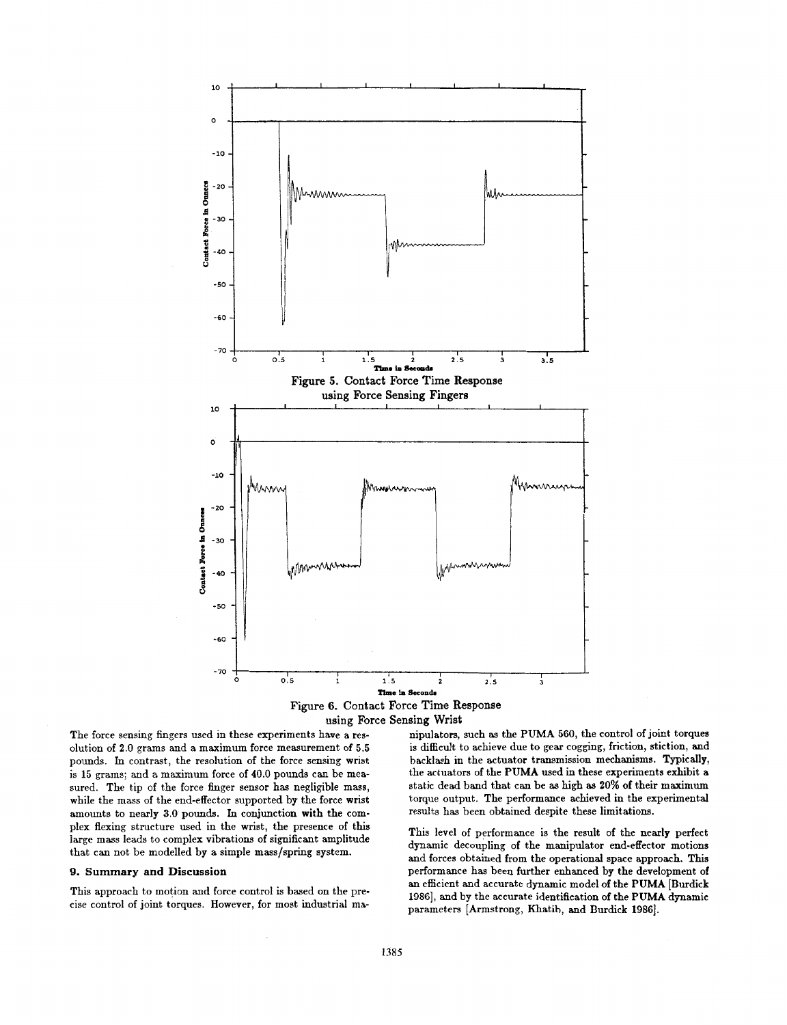

**using** Force **Sensing Wrist** 

The force sensing fingers used in these experiments have a resolution of 2.0 grams and a maximum force measurement of 5.5 pounds. **In** contrast, the resolution of the force sensing wrist is **15** grams; **and** a maximum force of 40.0 pounds can be measured. The tip of the force finger sensor has negligible mass, while the mass of the end-effector supported by the force wrist amounts to nearly **3.0** pounds. In conjunction with the complex flexing structure used in the wrist, the presence of this large mass leads to complex vibrations of significant amplitude that can not be modelled by a simple mass/spring system.

#### **9. Gummary and Discussion**

This approach to motion and force control is based on the precise control of joint torques. However, **for** most industrial ma-

nipulators, such **as** the PUMA 560, the control of joint torques is difficult to achieve due to gear cogging, friction, stiction, and backlash in the actuator transmission mechanisms. Typically, the actuators of the PUMA used in these experiments exhibit a static dead band that can be **as** high **as** 20% of their maximum torque output. The performance achieved **in** the experimental results has been obtained despite these limitations.

This level of performance is the result of the nearly perfect dynamic decoupling of the manipulator end-effector motions and forces obtained from the operational space approach. **This**  performance has been further enhanced by the development of an efficient and accurate dynamic model of the PUMA [Burdick **19861,** and by the accurate identification of the PUMA dynamic parameters [Armstrong, Khatib, and Burdick 1986].